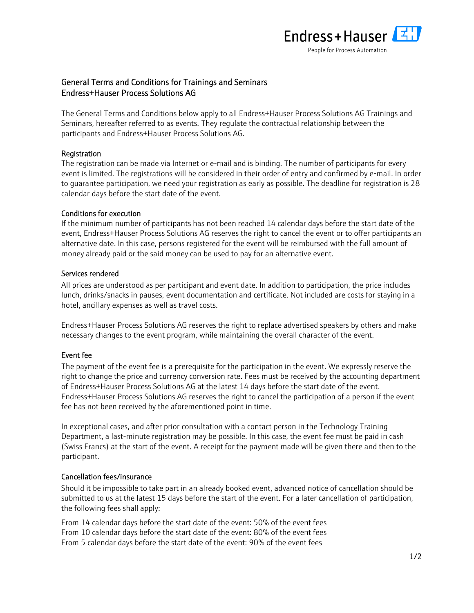

# General Terms and Conditions for Trainings and Seminars Endress+Hauser Process Solutions AG

The General Terms and Conditions below apply to all Endress+Hauser Process Solutions AG Trainings and Seminars, hereafter referred to as events. They regulate the contractual relationship between the participants and Endress+Hauser Process Solutions AG.

# **Registration**

The registration can be made via Internet or e-mail and is binding. The number of participants for every event is limited. The registrations will be considered in their order of entry and confirmed by e-mail. In order to guarantee participation, we need your registration as early as possible. The deadline for registration is 28 calendar days before the start date of the event.

## Conditions for execution

If the minimum number of participants has not been reached 14 calendar days before the start date of the event, Endress+Hauser Process Solutions AG reserves the right to cancel the event or to offer participants an alternative date. In this case, persons registered for the event will be reimbursed with the full amount of money already paid or the said money can be used to pay for an alternative event.

## Services rendered

All prices are understood as per participant and event date. In addition to participation, the price includes lunch, drinks/snacks in pauses, event documentation and certificate. Not included are costs for staying in a hotel, ancillary expenses as well as travel costs.

Endress+Hauser Process Solutions AG reserves the right to replace advertised speakers by others and make necessary changes to the event program, while maintaining the overall character of the event.

# Event fee

The payment of the event fee is a prerequisite for the participation in the event. We expressly reserve the right to change the price and currency conversion rate. Fees must be received by the accounting department of Endress+Hauser Process Solutions AG at the latest 14 days before the start date of the event. Endress+Hauser Process Solutions AG reserves the right to cancel the participation of a person if the event fee has not been received by the aforementioned point in time.

In exceptional cases, and after prior consultation with a contact person in the Technology Training Department, a last-minute registration may be possible. In this case, the event fee must be paid in cash (Swiss Francs) at the start of the event. A receipt for the payment made will be given there and then to the participant.

# Cancellation fees/insurance

Should it be impossible to take part in an already booked event, advanced notice of cancellation should be submitted to us at the latest 15 days before the start of the event. For a later cancellation of participation, the following fees shall apply:

From 14 calendar days before the start date of the event: 50% of the event fees From 10 calendar days before the start date of the event: 80% of the event fees From 5 calendar days before the start date of the event: 90% of the event fees